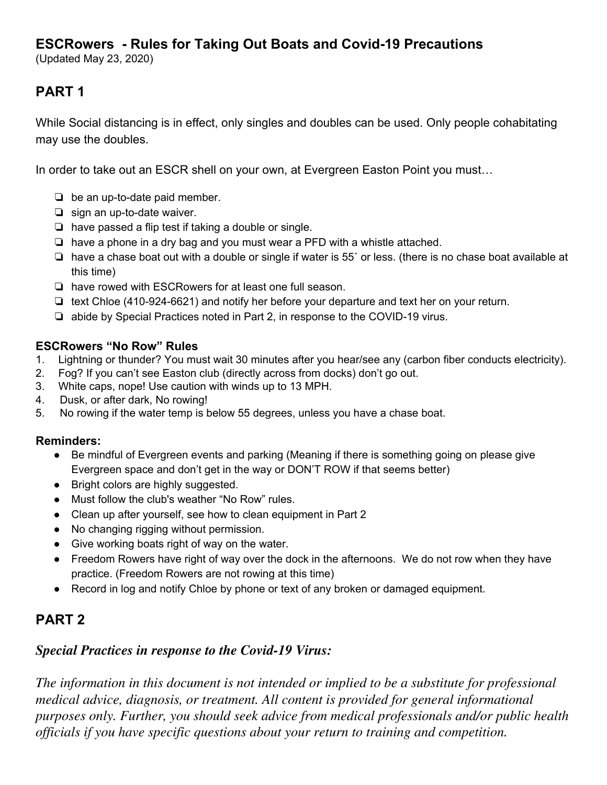## **ESCRowers - Rules for Taking Out Boats and Covid-19 Precautions**

(Updated May 23, 2020)

# **PART 1**

While Social distancing is in effect, only singles and doubles can be used. Only people cohabitating may use the doubles.

In order to take out an ESCR shell on your own, at Evergreen Easton Point you must…

- ❏ be an up-to-date paid member.
- ❏ sign an up-to-date waiver.
- ❏ have passed a flip test if taking a double or single.
- ❏ have a phone in a dry bag and you must wear a PFD with a whistle attached.
- ❏ have a chase boat out with a double or single if water is 55˚ or less. (there is no chase boat available at this time)
- ❏ have rowed with ESCRowers for at least one full season.
- ❏ text Chloe (410-924-6621) and notify her before your departure and text her on your return.
- ❏ abide by Special Practices noted in Part 2, in response to the COVID-19 virus.

#### **ESCRowers "No Row" Rules**

- 1. Lightning or thunder? You must wait 30 minutes after you hear/see any (carbon fiber conducts electricity).
- 2. Fog? If you can't see Easton club (directly across from docks) don't go out.
- 3. White caps, nope! Use caution with winds up to 13 MPH.
- 4. Dusk, or after dark, No rowing!
- 5. No rowing if the water temp is below 55 degrees, unless you have a chase boat.

#### **Reminders:**

- Be mindful of Evergreen events and parking (Meaning if there is something going on please give Evergreen space and don't get in the way or DON'T ROW if that seems better)
- Bright colors are highly suggested.
- Must follow the club's weather "No Row" rules.
- Clean up after yourself, see how to clean equipment in Part 2
- No changing rigging without permission.
- Give working boats right of way on the water.
- Freedom Rowers have right of way over the dock in the afternoons. We do not row when they have practice. (Freedom Rowers are not rowing at this time)
- Record in log and notify Chloe by phone or text of any broken or damaged equipment.

## **PART 2**

### *Special Practices in response to the Covid-19 Virus:*

*The information in this document is not intended or implied to be a substitute for professional medical advice, diagnosis, or treatment. All content is provided for general informational purposes only. Further, you should seek advice from medical professionals and/or public health of icials if you have specific questions about your return to training and competition.*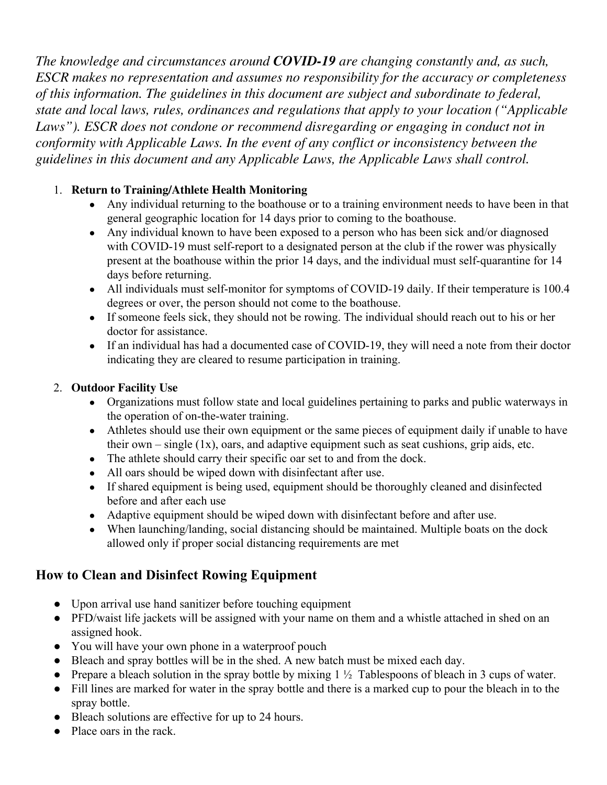*The knowledge and circumstances around COVID-19 are changing constantly and, as such, ESCR makes no representation and assumes no responsibility for the accuracy or completeness of this information. The guidelines in this document are subject and subordinate to federal, state and local laws, rules, ordinances and regulations that apply to your location ("Applicable Laws"). ESCR does not condone or recommend disregarding or engaging in conduct not in conformity with Applicable Laws. In the event of any conflict or inconsistency between the guidelines in this document and any Applicable Laws, the Applicable Laws shall control.*

### 1. **Return to Training/Athlete Health Monitoring**

- Any individual returning to the boathouse or to a training environment needs to have been in that general geographic location for 14 days prior to coming to the boathouse.
- Any individual known to have been exposed to a person who has been sick and/or diagnosed with COVID-19 must self-report to a designated person at the club if the rower was physically present at the boathouse within the prior 14 days, and the individual must self-quarantine for 14 days before returning.
- All individuals must self-monitor for symptoms of COVID-19 daily. If their temperature is 100.4 degrees or over, the person should not come to the boathouse.
- If someone feels sick, they should not be rowing. The individual should reach out to his or her doctor for assistance.
- If an individual has had a documented case of COVID-19, they will need a note from their doctor indicating they are cleared to resume participation in training.

### 2. **Outdoor Facility Use**

- Organizations must follow state and local guidelines pertaining to parks and public waterways in the operation of on-the-water training.
- Athletes should use their own equipment or the same pieces of equipment daily if unable to have their own  $-\sin\theta$  (1x), oars, and adaptive equipment such as seat cushions, grip aids, etc.
- The athlete should carry their specific oar set to and from the dock.
- All oars should be wiped down with disinfectant after use.
- If shared equipment is being used, equipment should be thoroughly cleaned and disinfected before and after each use
- Adaptive equipment should be wiped down with disinfectant before and after use.
- When launching/landing, social distancing should be maintained. Multiple boats on the dock allowed only if proper social distancing requirements are met

## **How to Clean and Disinfect Rowing Equipment**

- Upon arrival use hand sanitizer before touching equipment
- PFD/waist life jackets will be assigned with your name on them and a whistle attached in shed on an assigned hook.
- You will have your own phone in a waterproof pouch
- Bleach and spray bottles will be in the shed. A new batch must be mixed each day.
- Prepare a bleach solution in the spray bottle by mixing  $1\frac{1}{2}$  Tablespoons of bleach in 3 cups of water.
- Fill lines are marked for water in the spray bottle and there is a marked cup to pour the bleach in to the spray bottle.
- Bleach solutions are effective for up to 24 hours.
- Place oars in the rack.